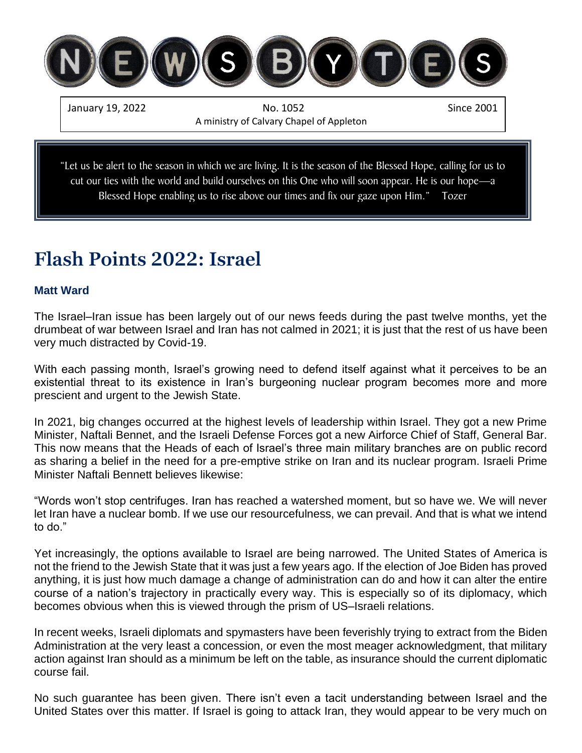

January 19, 2022 No. 1052 Since 2001 A ministry of Calvary Chapel of Appleton

"Let us be alert to the season in which we are living. It is the season of the Blessed Hope, calling for us to cut our ties with the world and build ourselves on this One who will soon appear. He is our hope—a Blessed Hope enabling us to rise above our times and fix our gaze upon Him." Tozer

# **Flash Points 2022: Israel**

#### **Matt Ward**

The Israel–Iran issue has been largely out of our news feeds during the past twelve months, yet the drumbeat of war between Israel and Iran has not calmed in 2021; it is just that the rest of us have been very much distracted by Covid-19.

With each passing month, Israel's growing need to defend itself against what it perceives to be an existential threat to its existence in Iran's burgeoning nuclear program becomes more and more prescient and urgent to the Jewish State.

In 2021, big changes occurred at the highest levels of leadership within Israel. They got a new Prime Minister, Naftali Bennet, and the Israeli Defense Forces got a new Airforce Chief of Staff, General Bar. This now means that the Heads of each of Israel's three main military branches are on public record as sharing a belief in the need for a pre-emptive strike on Iran and its nuclear program. Israeli Prime Minister Naftali Bennett believes likewise:

"Words won't stop centrifuges. Iran has reached a watershed moment, but so have we. We will never let Iran have a nuclear bomb. If we use our resourcefulness, we can prevail. And that is what we intend to do."

Yet increasingly, the options available to Israel are being narrowed. The United States of America is not the friend to the Jewish State that it was just a few years ago. If the election of Joe Biden has proved anything, it is just how much damage a change of administration can do and how it can alter the entire course of a nation's trajectory in practically every way. This is especially so of its diplomacy, which becomes obvious when this is viewed through the prism of US–Israeli relations.

In recent weeks, Israeli diplomats and spymasters have been feverishly trying to extract from the Biden Administration at the very least a concession, or even the most meager acknowledgment, that military action against Iran should as a minimum be left on the table, as insurance should the current diplomatic course fail.

No such guarantee has been given. There isn't even a tacit understanding between Israel and the United States over this matter. If Israel is going to attack Iran, they would appear to be very much on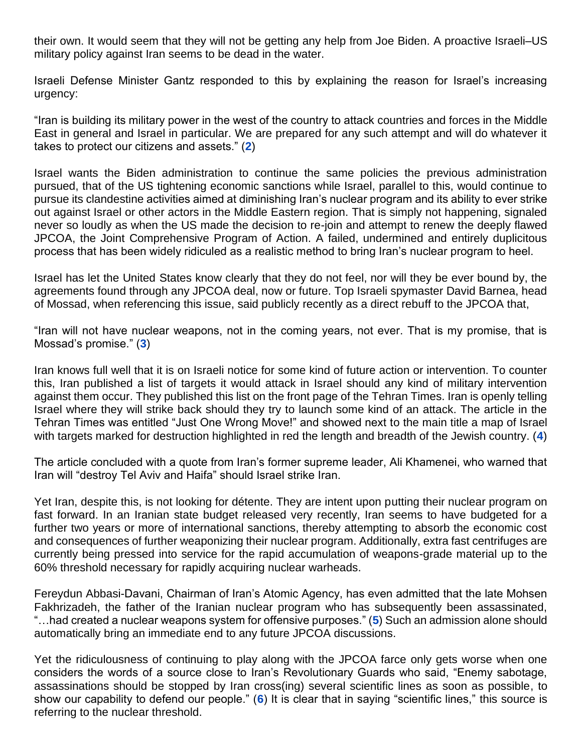their own. It would seem that they will not be getting any help from Joe Biden. A proactive Israeli–US military policy against Iran seems to be dead in the water.

Israeli Defense Minister Gantz responded to this by explaining the reason for Israel's increasing urgency:

"Iran is building its military power in the west of the country to attack countries and forces in the Middle East in general and Israel in particular. We are prepared for any such attempt and will do whatever it takes to protect our citizens and assets." (**[2](https://www.bbc.com/news/world-middle-east-59322152)**)

Israel wants the Biden administration to continue the same policies the previous administration pursued, that of the US tightening economic sanctions while Israel, parallel to this, would continue to pursue its clandestine activities aimed at diminishing Iran's nuclear program and its ability to ever strike out against Israel or other actors in the Middle Eastern region. That is simply not happening, signaled never so loudly as when the US made the decision to re-join and attempt to renew the deeply flawed JPCOA, the Joint Comprehensive Program of Action. A failed, undermined and entirely duplicitous process that has been widely ridiculed as a realistic method to bring Iran's nuclear program to heel.

Israel has let the United States know clearly that they do not feel, nor will they be ever bound by, the agreements found through any JPCOA deal, now or future. Top Israeli spymaster David Barnea, head of Mossad, when referencing this issue, said publicly recently as a direct rebuff to the JPCOA that,

"Iran will not have nuclear weapons, not in the coming years, not ever. That is my promise, that is Mossad's promise." (**[3](https://www.yenisafak.com/en/news/israeli-spy-chief-visits-washington-for-talks-on-iran-3585543)**)

Iran knows full well that it is on Israeli notice for some kind of future action or intervention. To counter this, Iran published a list of targets it would attack in Israel should any kind of military intervention against them occur. They published this list on the front page of the Tehran Times. Iran is openly telling Israel where they will strike back should they try to launch some kind of an attack. The article in the Tehran Times was entitled "Just One Wrong Move!" and showed next to the main title a map of Israel with targets marked for destruction highlighted in red the length and breadth of the Jewish country. (**[4](https://www.jpost.com/middle-east/tehran-times-publishes-targets-iran-will-attack-in-israel-688785)**)

The article concluded with a quote from Iran's former supreme leader, Ali Khamenei, who warned that Iran will "destroy Tel Aviv and Haifa" should Israel strike Iran.

Yet Iran, despite this, is not looking for détente. They are intent upon putting their nuclear program on fast forward. In an Iranian state budget released very recently, Iran seems to have budgeted for a further two years or more of international sanctions, thereby attempting to absorb the economic cost and consequences of further weaponizing their nuclear program. Additionally, extra fast centrifuges are currently being pressed into service for the rapid accumulation of weapons-grade material up to the 60% threshold necessary for rapidly acquiring nuclear warheads.

Fereydun Abbasi-Davani, Chairman of Iran's Atomic Agency, has even admitted that the late Mohsen Fakhrizadeh, the father of the Iranian nuclear program who has subsequently been assassinated, "…had created a nuclear weapons system for offensive purposes." (**[5](https://www.thetimes.co.uk/article/ex-nuclear-chief-admits-iran-aimed-to-create-bomb-fnp5wq0jz)**) Such an admission alone should automatically bring an immediate end to any future JPCOA discussions.

Yet the ridiculousness of continuing to play along with the JPCOA farce only gets worse when one considers the words of a source close to Iran's Revolutionary Guards who said, "Enemy sabotage, assassinations should be stopped by Iran cross(ing) several scientific lines as soon as possible, to show our capability to defend our people." (**[6](https://www.memri.org/reports/former-head-atomic-energy-organization-iran-abbasi-davani-hints-iranian-nuclear-chief-mohsen)**) It is clear that in saying "scientific lines," this source is referring to the nuclear threshold.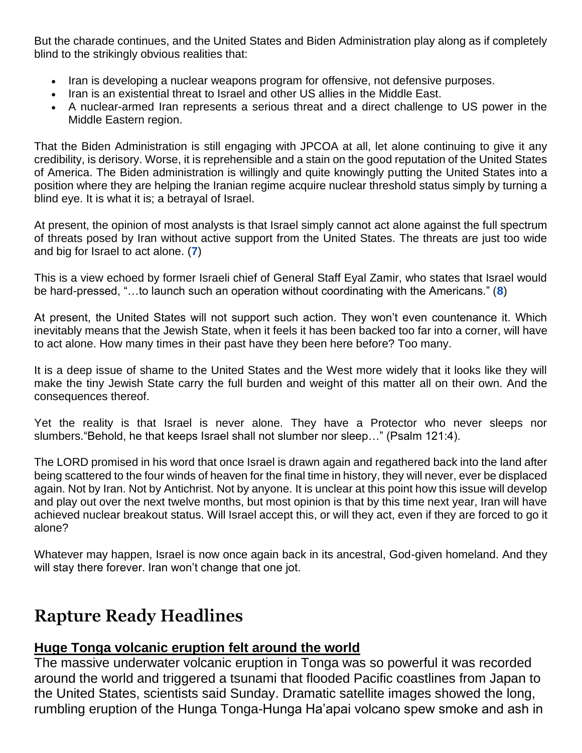But the charade continues, and the United States and Biden Administration play along as if completely blind to the strikingly obvious realities that:

- Iran is developing a nuclear weapons program for offensive, not defensive purposes.
- Iran is an existential threat to Israel and other US allies in the Middle East.
- A nuclear-armed Iran represents a serious threat and a direct challenge to US power in the Middle Eastern region.

That the Biden Administration is still engaging with JPCOA at all, let alone continuing to give it any credibility, is derisory. Worse, it is reprehensible and a stain on the good reputation of the United States of America. The Biden administration is willingly and quite knowingly putting the United States into a position where they are helping the Iranian regime acquire nuclear threshold status simply by turning a blind eye. It is what it is; a betrayal of Israel.

At present, the opinion of most analysts is that Israel simply cannot act alone against the full spectrum of threats posed by Iran without active support from the United States. The threats are just too wide and big for Israel to act alone. (**[7](https://foreignpolicy.com/2021/09/17/israel-isnt-strong-enough-to-attack-iran/)**)

This is a view echoed by former Israeli chief of General Staff Eyal Zamir, who states that Israel would be hard-pressed, "…to launch such an operation without coordinating with the Americans." (**[8](https://www.rt.com/op-ed/543323-iran-israel-war-attack/)**)

At present, the United States will not support such action. They won't even countenance it. Which inevitably means that the Jewish State, when it feels it has been backed too far into a corner, will have to act alone. How many times in their past have they been here before? Too many.

It is a deep issue of shame to the United States and the West more widely that it looks like they will make the tiny Jewish State carry the full burden and weight of this matter all on their own. And the consequences thereof.

Yet the reality is that Israel is never alone. They have a Protector who never sleeps nor slumbers."Behold, he that keeps Israel shall not slumber nor sleep…" (Psalm 121:4).

The LORD promised in his word that once Israel is drawn again and regathered back into the land after being scattered to the four winds of heaven for the final time in history, they will never, ever be displaced again. Not by Iran. Not by Antichrist. Not by anyone. It is unclear at this point how this issue will develop and play out over the next twelve months, but most opinion is that by this time next year, Iran will have achieved nuclear breakout status. Will Israel accept this, or will they act, even if they are forced to go it alone?

Whatever may happen, Israel is now once again back in its ancestral, God-given homeland. And they will stay there forever. Iran won't change that one jot.

## **Rapture Ready Headlines**

## **[Huge Tonga volcanic eruption felt around the world](https://www.rfi.fr/en/huge-tonga-volcanic-eruption-felt-around-the-world)**

The massive underwater volcanic eruption in Tonga was so powerful it was recorded around the world and triggered a tsunami that flooded Pacific coastlines from Japan to the United States, scientists said Sunday. Dramatic satellite images showed the long, rumbling eruption of the Hunga Tonga-Hunga Ha'apai volcano spew smoke and ash in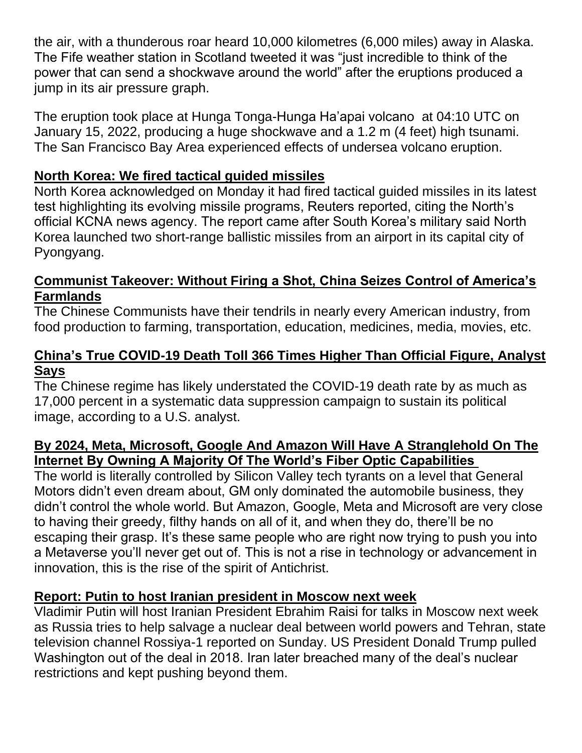the air, with a thunderous roar heard 10,000 kilometres (6,000 miles) away in Alaska. The Fife weather station in Scotland tweeted it was "just incredible to think of the power that can send a shockwave around the world" after the eruptions produced a jump in its air pressure graph.

The eruption took place at Hunga Tonga-Hunga Ha'apai volcano at 04:10 UTC on January 15, 2022, producing a huge shockwave and a 1.2 m (4 feet) high tsunami. The San Francisco Bay Area experienced effects of undersea volcano eruption.

## **[North Korea: We fired tactical guided missiles](https://www.israelnationalnews.com/news/320653)**

North Korea acknowledged on Monday it had fired tactical guided missiles in its latest test highlighting its evolving missile programs, Reuters reported, citing the North's official KCNA news agency. The report came after South Korea's military said North Korea launched two short-range ballistic missiles from an airport in its capital city of Pyongyang.

## **[Communist Takeover: Without Firing a Shot, China Seizes Control of America's](https://rairfoundation.com/communist-takeover-without-firing-a-shot-china-seizes-control-of-americas-farmlands/)  [Farmlands](https://rairfoundation.com/communist-takeover-without-firing-a-shot-china-seizes-control-of-americas-farmlands/)**

The Chinese Communists have their tendrils in nearly every American industry, from food production to farming, transportation, education, medicines, media, movies, etc.

### **[China's True COVID-19 Death Toll 366 Times Higher Than Official Figure, Analyst](https://www.zerohedge.com/covid-19/chinas-true-covid-19-death-toll-366-times-higher-official-figure-analyst-says)  [Says](https://www.zerohedge.com/covid-19/chinas-true-covid-19-death-toll-366-times-higher-official-figure-analyst-says)**

The Chinese regime has likely understated the COVID-19 death rate by as much as 17,000 percent in a systematic data suppression campaign to sustain its political image, according to a U.S. analyst.

## **[By 2024, Meta, Microsoft, Google And Amazon Will Have A Stranglehold On The](https://www.nowtheendbegins.com/by-2024-meta-microsoft-google-and-amazon-will-have-a-stranglehold-on-fiber-optic-internet-silicon-vallet-tech-tyrants/)  [Internet By Owning A Majority Of The World's Fiber Optic Capabilities](https://www.nowtheendbegins.com/by-2024-meta-microsoft-google-and-amazon-will-have-a-stranglehold-on-fiber-optic-internet-silicon-vallet-tech-tyrants/)**

The world is literally controlled by Silicon Valley tech tyrants on a level that General Motors didn't even dream about, GM only dominated the automobile business, they didn't control the whole world. But Amazon, Google, Meta and Microsoft are very close to having their greedy, filthy hands on all of it, and when they do, there'll be no escaping their grasp. It's these same people who are right now trying to push you into a Metaverse you'll never get out of. This is not a rise in technology or advancement in innovation, this is the rise of the spirit of Antichrist.

## **[Report: Putin to host Iranian president in Moscow next week](https://www.israelhayom.com/2022/01/16/report-putin-to-host-iranian-president-in-moscow-next-week/)**

Vladimir Putin will host Iranian President Ebrahim Raisi for talks in Moscow next week as Russia tries to help salvage a nuclear deal between world powers and Tehran, state television channel Rossiya-1 reported on Sunday. US President Donald Trump pulled Washington out of the deal in 2018. Iran later breached many of the deal's nuclear restrictions and kept pushing beyond them.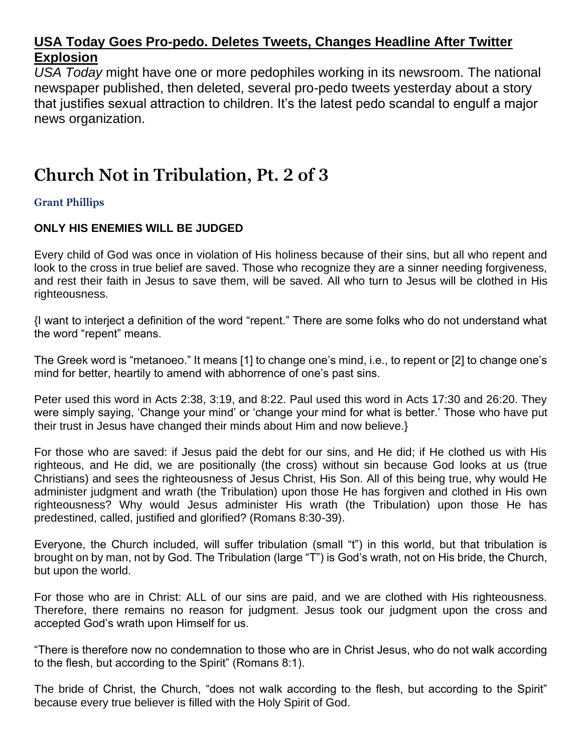### **[USA Today Goes Pro-pedo. Deletes Tweets, Changes Headline After Twitter](https://thenewamerican.com/usa-today-goes-pro-pedo-deletes-tweets-changes-headline-after-twitter-explosion/)  [Explosion](https://thenewamerican.com/usa-today-goes-pro-pedo-deletes-tweets-changes-headline-after-twitter-explosion/)**

*USA Today* might have one or more pedophiles working in its newsroom. The national newspaper published, then deleted, several pro-pedo tweets yesterday about a story that justifies sexual attraction to children. It's the latest pedo scandal to engulf a major news organization.

## **Church Not in Tribulation, Pt. 2 of 3**

#### **Grant Phillips**

#### **ONLY HIS ENEMIES WILL BE JUDGED**

Every child of God was once in violation of His holiness because of their sins, but all who repent and look to the cross in true belief are saved. Those who recognize they are a sinner needing forgiveness, and rest their faith in Jesus to save them, will be saved. All who turn to Jesus will be clothed in His righteousness.

{I want to interject a definition of the word "repent." There are some folks who do not understand what the word "repent" means.

The Greek word is "metanoeo." It means [1] to change one's mind, i.e., to repent or [2] to change one's mind for better, heartily to amend with abhorrence of one's past sins.

Peter used this word in Acts 2:38, 3:19, and 8:22. Paul used this word in Acts 17:30 and 26:20. They were simply saying, 'Change your mind' or 'change your mind for what is better.' Those who have put their trust in Jesus have changed their minds about Him and now believe.}

For those who are saved: if Jesus paid the debt for our sins, and He did; if He clothed us with His righteous, and He did, we are positionally (the cross) without sin because God looks at us (true Christians) and sees the righteousness of Jesus Christ, His Son. All of this being true, why would He administer judgment and wrath (the Tribulation) upon those He has forgiven and clothed in His own righteousness? Why would Jesus administer His wrath (the Tribulation) upon those He has predestined, called, justified and glorified? (Romans 8:30-39).

Everyone, the Church included, will suffer tribulation (small "t") in this world, but that tribulation is brought on by man, not by God. The Tribulation (large "T") is God's wrath, not on His bride, the Church, but upon the world.

For those who are in Christ: ALL of our sins are paid, and we are clothed with His righteousness. Therefore, there remains no reason for judgment. Jesus took our judgment upon the cross and accepted God's wrath upon Himself for us.

"There is therefore now no condemnation to those who are in Christ Jesus, who do not walk according to the flesh, but according to the Spirit" (Romans 8:1).

The bride of Christ, the Church, "does not walk according to the flesh, but according to the Spirit" because every true believer is filled with the Holy Spirit of God.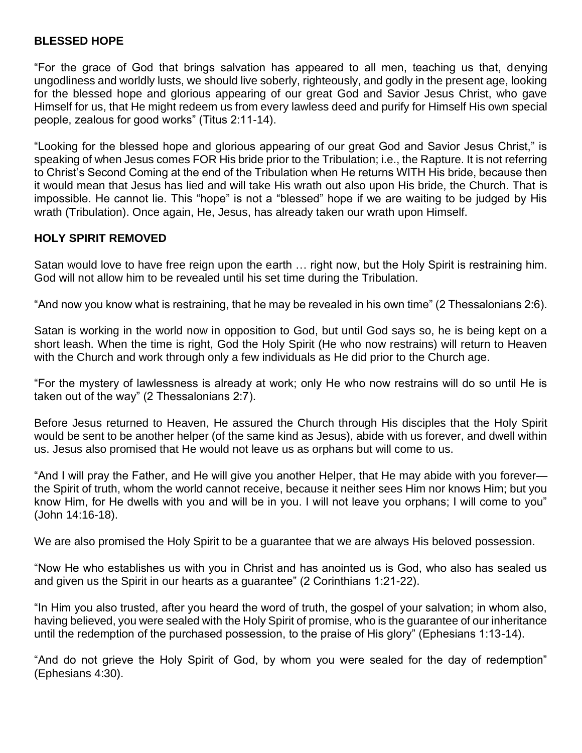#### **BLESSED HOPE**

"For the grace of God that brings salvation has appeared to all men, teaching us that, denying ungodliness and worldly lusts, we should live soberly, righteously, and godly in the present age, looking for the blessed hope and glorious appearing of our great God and Savior Jesus Christ, who gave Himself for us, that He might redeem us from every lawless deed and purify for Himself His own special people, zealous for good works" (Titus 2:11-14).

"Looking for the blessed hope and glorious appearing of our great God and Savior Jesus Christ," is speaking of when Jesus comes FOR His bride prior to the Tribulation; i.e., the Rapture. It is not referring to Christ's Second Coming at the end of the Tribulation when He returns WITH His bride, because then it would mean that Jesus has lied and will take His wrath out also upon His bride, the Church. That is impossible. He cannot lie. This "hope" is not a "blessed" hope if we are waiting to be judged by His wrath (Tribulation). Once again, He, Jesus, has already taken our wrath upon Himself.

#### **HOLY SPIRIT REMOVED**

Satan would love to have free reign upon the earth … right now, but the Holy Spirit is restraining him. God will not allow him to be revealed until his set time during the Tribulation.

"And now you know what is restraining, that he may be revealed in his own time" (2 Thessalonians 2:6).

Satan is working in the world now in opposition to God, but until God says so, he is being kept on a short leash. When the time is right, God the Holy Spirit (He who now restrains) will return to Heaven with the Church and work through only a few individuals as He did prior to the Church age.

"For the mystery of lawlessness is already at work; only He who now restrains will do so until He is taken out of the way" (2 Thessalonians 2:7).

Before Jesus returned to Heaven, He assured the Church through His disciples that the Holy Spirit would be sent to be another helper (of the same kind as Jesus), abide with us forever, and dwell within us. Jesus also promised that He would not leave us as orphans but will come to us.

"And I will pray the Father, and He will give you another Helper, that He may abide with you forever the Spirit of truth, whom the world cannot receive, because it neither sees Him nor knows Him; but you know Him, for He dwells with you and will be in you. I will not leave you orphans; I will come to you" (John 14:16-18).

We are also promised the Holy Spirit to be a guarantee that we are always His beloved possession.

"Now He who establishes us with you in Christ and has anointed us is God, who also has sealed us and given us the Spirit in our hearts as a guarantee" (2 Corinthians 1:21-22).

"In Him you also trusted, after you heard the word of truth, the gospel of your salvation; in whom also, having believed, you were sealed with the Holy Spirit of promise, who is the guarantee of our inheritance until the redemption of the purchased possession, to the praise of His glory" (Ephesians 1:13-14).

"And do not grieve the Holy Spirit of God, by whom you were sealed for the day of redemption" (Ephesians 4:30).